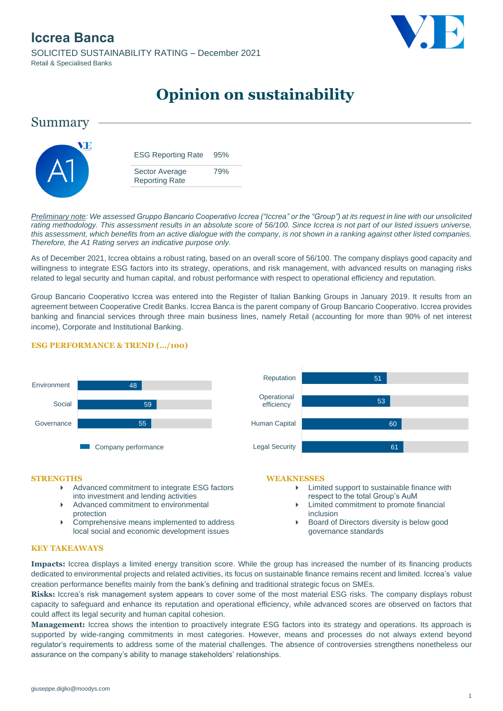

# **Opinion on sustainability**



*Preliminary note: We assessed Gruppo Bancario Cooperativo Iccrea ("Iccrea" or the "Group") at its request in line with our unsolicited rating methodology. This assessment results in an absolute score of 56/100. Since Iccrea is not part of our listed issuers universe, this assessment, which benefits from an active dialogue with the company, is not shown in a ranking against other listed companies. Therefore, the A1 Rating serves an indicative purpose only.* 

As of December 2021, Iccrea obtains a robust rating, based on an overall score of 56/100. The company displays good capacity and willingness to integrate ESG factors into its strategy, operations, and risk management, with advanced results on managing risks related to legal security and human capital, and robust performance with respect to operational efficiency and reputation.

Group Bancario Cooperativo Iccrea was entered into the Register of Italian Banking Groups in January 2019. It results from an agreement between Cooperative Credit Banks. Iccrea Banca is the parent company of Group Bancario Cooperativo. Iccrea provides banking and financial services through three main business lines, namely Retail (accounting for more than 90% of net interest income), Corporate and Institutional Banking.

### **ESG PERFORMANCE & TREND (…/100)**



### 60 53 51 Legal Security Human Capital **Operational** efficiency Reputation

#### **STRENGTHS**

- Advanced commitment to integrate ESG factors into investment and lending activities
- Advanced commitment to environmental protection
- ▶ Comprehensive means implemented to address local social and economic development issues

#### **WEAKNESSES**

- Limited support to sustainable finance with respect to the total Group's AuM
- Limited commitment to promote financial inclusion
- Board of Directors diversity is below good governance standards

#### **KEY TAKEAWAYS**

**Impacts:** Iccrea displays a limited energy transition score. While the group has increased the number of its financing products dedicated to environmental projects and related activities, its focus on sustainable finance remains recent and limited. Iccrea's value creation performance benefits mainly from the bank's defining and traditional strategic focus on SMEs.

**Risks:** Iccrea's risk management system appears to cover some of the most material ESG risks. The company displays robust capacity to safeguard and enhance its reputation and operational efficiency, while advanced scores are observed on factors that could affect its legal security and human capital cohesion.

**Management:** Iccrea shows the intention to proactively integrate ESG factors into its strategy and operations. Its approach is supported by wide-ranging commitments in most categories. However, means and processes do not always extend beyond regulator's requirements to address some of the material challenges. The absence of controversies strengthens nonetheless our assurance on the company's ability to manage stakeholders' relationships.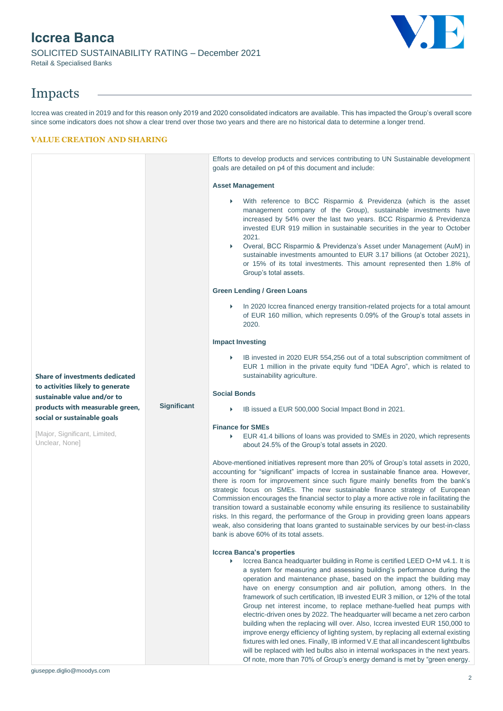## **Iccrea Banca** SOLICITED SUSTAINABILITY RATING – December 2021 Retail & Specialised Banks

# Impacts

Iccrea was created in 2019 and for this reason only 2019 and 2020 consolidated indicators are available. This has impacted the Group's overall score since some indicators does not show a clear trend over those two years and there are no historical data to determine a longer trend.

### **VALUE CREATION AND SHARING**

|                                                                                |                    | Efforts to develop products and services contributing to UN Sustainable development<br>goals are detailed on p4 of this document and include:                                                                                                                                                                                                                                                                                                                                                                                                                                                                                                                                                                                                                                                                                                                                                                                                                                                                  |
|--------------------------------------------------------------------------------|--------------------|----------------------------------------------------------------------------------------------------------------------------------------------------------------------------------------------------------------------------------------------------------------------------------------------------------------------------------------------------------------------------------------------------------------------------------------------------------------------------------------------------------------------------------------------------------------------------------------------------------------------------------------------------------------------------------------------------------------------------------------------------------------------------------------------------------------------------------------------------------------------------------------------------------------------------------------------------------------------------------------------------------------|
|                                                                                |                    | <b>Asset Management</b>                                                                                                                                                                                                                                                                                                                                                                                                                                                                                                                                                                                                                                                                                                                                                                                                                                                                                                                                                                                        |
|                                                                                |                    | With reference to BCC Risparmio & Previdenza (which is the asset<br>$\blacktriangleright$<br>management company of the Group), sustainable investments have<br>increased by 54% over the last two years. BCC Risparmio & Previdenza<br>invested EUR 919 million in sustainable securities in the year to October<br>2021.<br>Overal, BCC Risparmio & Previdenza's Asset under Management (AuM) in<br>Þ<br>sustainable investments amounted to EUR 3.17 billions (at October 2021),<br>or 15% of its total investments. This amount represented then 1.8% of<br>Group's total assets.                                                                                                                                                                                                                                                                                                                                                                                                                           |
|                                                                                |                    | <b>Green Lending / Green Loans</b>                                                                                                                                                                                                                                                                                                                                                                                                                                                                                                                                                                                                                                                                                                                                                                                                                                                                                                                                                                             |
|                                                                                |                    | In 2020 Iccrea financed energy transition-related projects for a total amount<br>Þ<br>of EUR 160 million, which represents 0.09% of the Group's total assets in<br>2020.                                                                                                                                                                                                                                                                                                                                                                                                                                                                                                                                                                                                                                                                                                                                                                                                                                       |
|                                                                                |                    | <b>Impact Investing</b>                                                                                                                                                                                                                                                                                                                                                                                                                                                                                                                                                                                                                                                                                                                                                                                                                                                                                                                                                                                        |
| <b>Share of investments dedicated</b>                                          |                    | IB invested in 2020 EUR 554,256 out of a total subscription commitment of<br>Þ<br>EUR 1 million in the private equity fund "IDEA Agro", which is related to<br>sustainability agriculture.                                                                                                                                                                                                                                                                                                                                                                                                                                                                                                                                                                                                                                                                                                                                                                                                                     |
| to activities likely to generate<br>sustainable value and/or to                |                    | <b>Social Bonds</b>                                                                                                                                                                                                                                                                                                                                                                                                                                                                                                                                                                                                                                                                                                                                                                                                                                                                                                                                                                                            |
| products with measurable green,                                                | <b>Significant</b> | IB issued a EUR 500,000 Social Impact Bond in 2021.<br>▶                                                                                                                                                                                                                                                                                                                                                                                                                                                                                                                                                                                                                                                                                                                                                                                                                                                                                                                                                       |
| social or sustainable goals<br>[Major, Significant, Limited,<br>Unclear, None] |                    | <b>Finance for SMEs</b><br>EUR 41.4 billions of loans was provided to SMEs in 2020, which represents<br>▶<br>about 24.5% of the Group's total assets in 2020.                                                                                                                                                                                                                                                                                                                                                                                                                                                                                                                                                                                                                                                                                                                                                                                                                                                  |
|                                                                                |                    | Above-mentioned initiatives represent more than 20% of Group's total assets in 2020,<br>accounting for "significant" impacts of Iccrea in sustainable finance area. However,<br>there is room for improvement since such figure mainly benefits from the bank's<br>strategic focus on SMEs. The new sustainable finance strategy of European<br>Commission encourages the financial sector to play a more active role in facilitating the<br>transition toward a sustainable economy while ensuring its resilience to sustainability<br>risks. In this regard, the performance of the Group in providing green loans appears<br>weak, also considering that loans granted to sustainable services by our best-in-class<br>bank is above 60% of its total assets.                                                                                                                                                                                                                                               |
|                                                                                |                    | <b>Iccrea Banca's properties</b><br>Iccrea Banca headquarter building in Rome is certified LEED O+M v4.1. It is<br>Þ<br>a system for measuring and assessing building's performance during the<br>operation and maintenance phase, based on the impact the building may<br>have on energy consumption and air pollution, among others. In the<br>framework of such certification, IB invested EUR 3 million, or 12% of the total<br>Group net interest income, to replace methane-fuelled heat pumps with<br>electric-driven ones by 2022. The headquarter will became a net zero carbon<br>building when the replacing will over. Also, Iccrea invested EUR 150,000 to<br>improve energy efficiency of lighting system, by replacing all external existing<br>fixtures with led ones. Finally, IB informed V.E that all incandescent lightbulbs<br>will be replaced with led bulbs also in internal workspaces in the next years.<br>Of note, more than 70% of Group's energy demand is met by "green energy. |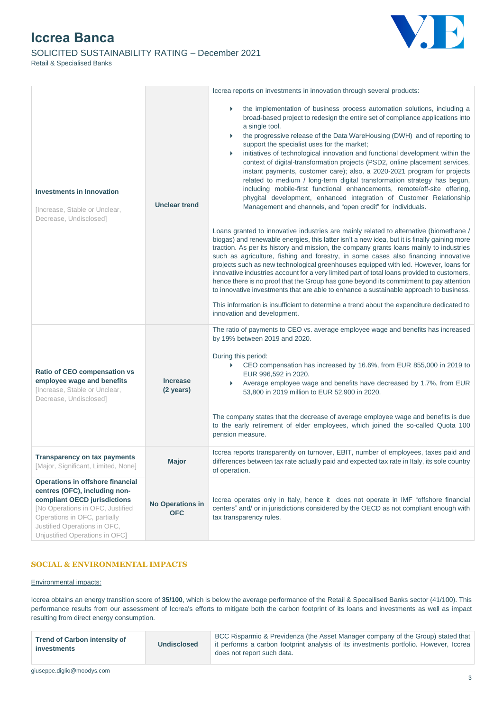### SOLICITED SUSTAINABILITY RATING – December 2021 Retail & Specialised Banks



|                                                                                                                                                                                                                                                |                                       | Iccrea reports on investments in innovation through several products:                                                                                                                                                                                                                                                                                                                                                                                                                                                                                                                                                                                                                                                                                                                                                                                                                                                                                                                                                                                                                                                                                                                                                                                                                                                                                                                                                                                                                                                                                                                                                                                                                                                                                                    |
|------------------------------------------------------------------------------------------------------------------------------------------------------------------------------------------------------------------------------------------------|---------------------------------------|--------------------------------------------------------------------------------------------------------------------------------------------------------------------------------------------------------------------------------------------------------------------------------------------------------------------------------------------------------------------------------------------------------------------------------------------------------------------------------------------------------------------------------------------------------------------------------------------------------------------------------------------------------------------------------------------------------------------------------------------------------------------------------------------------------------------------------------------------------------------------------------------------------------------------------------------------------------------------------------------------------------------------------------------------------------------------------------------------------------------------------------------------------------------------------------------------------------------------------------------------------------------------------------------------------------------------------------------------------------------------------------------------------------------------------------------------------------------------------------------------------------------------------------------------------------------------------------------------------------------------------------------------------------------------------------------------------------------------------------------------------------------------|
| <b>Investments in Innovation</b><br>[Increase, Stable or Unclear,<br>Decrease, Undisclosed]                                                                                                                                                    | <b>Unclear trend</b>                  | the implementation of business process automation solutions, including a<br>$\blacktriangleright$<br>broad-based project to redesign the entire set of compliance applications into<br>a single tool.<br>the progressive release of the Data WareHousing (DWH) and of reporting to<br>▶<br>support the specialist uses for the market;<br>initiatives of technological innovation and functional development within the<br>Þ<br>context of digital-transformation projects (PSD2, online placement services,<br>instant payments, customer care); also, a 2020-2021 program for projects<br>related to medium / long-term digital transformation strategy has begun,<br>including mobile-first functional enhancements, remote/off-site offering,<br>phygital development, enhanced integration of Customer Relationship<br>Management and channels, and "open credit" for individuals.<br>Loans granted to innovative industries are mainly related to alternative (biomethane /<br>biogas) and renewable energies, this latter isn't a new idea, but it is finally gaining more<br>traction. As per its history and mission, the company grants loans mainly to industries<br>such as agriculture, fishing and forestry, in some cases also financing innovative<br>projects such as new technological greenhouses equipped with led. However, loans for<br>innovative industries account for a very limited part of total loans provided to customers,<br>hence there is no proof that the Group has gone beyond its commitment to pay attention<br>to innovative investments that are able to enhance a sustainable approach to business.<br>This information is insufficient to determine a trend about the expenditure dedicated to<br>innovation and development. |
| Ratio of CEO compensation vs<br>employee wage and benefits<br>[Increase, Stable or Unclear,<br>Decrease, Undisclosed]                                                                                                                          | <b>Increase</b><br>(2 years)          | The ratio of payments to CEO vs. average employee wage and benefits has increased<br>by 19% between 2019 and 2020.<br>During this period:<br>CEO compensation has increased by 16.6%, from EUR 855,000 in 2019 to<br>$\blacktriangleright$<br>EUR 996,592 in 2020.<br>Average employee wage and benefits have decreased by 1.7%, from EUR<br>53,800 in 2019 million to EUR 52,900 in 2020.<br>The company states that the decrease of average employee wage and benefits is due<br>to the early retirement of elder employees, which joined the so-called Quota 100<br>pension measure.                                                                                                                                                                                                                                                                                                                                                                                                                                                                                                                                                                                                                                                                                                                                                                                                                                                                                                                                                                                                                                                                                                                                                                                  |
| <b>Transparency on tax payments</b><br>[Major, Significant, Limited, None]                                                                                                                                                                     | Major                                 | Iccrea reports transparently on turnover, EBIT, number of employees, taxes paid and<br>differences between tax rate actually paid and expected tax rate in Italy, its sole country<br>of operation.                                                                                                                                                                                                                                                                                                                                                                                                                                                                                                                                                                                                                                                                                                                                                                                                                                                                                                                                                                                                                                                                                                                                                                                                                                                                                                                                                                                                                                                                                                                                                                      |
| <b>Operations in offshore financial</b><br>centres (OFC), including non-<br>compliant OECD jurisdictions<br>[No Operations in OFC, Justified<br>Operations in OFC, partially<br>Justified Operations in OFC,<br>Unjustified Operations in OFC] | <b>No Operations in</b><br><b>OFC</b> | Iccrea operates only in Italy, hence it does not operate in IMF "offshore financial<br>centers" and/ or in jurisdictions considered by the OECD as not compliant enough with<br>tax transparency rules.                                                                                                                                                                                                                                                                                                                                                                                                                                                                                                                                                                                                                                                                                                                                                                                                                                                                                                                                                                                                                                                                                                                                                                                                                                                                                                                                                                                                                                                                                                                                                                  |

### **SOCIAL & ENVIRONMENTAL IMPACTS**

#### Environmental impacts:

Iccrea obtains an energy transition score of **35/100**, which is below the average performance of the Retail & Specailised Banks sector (41/100). This performance results from our assessment of Iccrea's efforts to mitigate both the carbon footprint of its loans and investments as well as impact resulting from direct energy consumption.

| <b>Trend of Carbon intensity of</b> | BCC Risparmio & Previdenza (the Asset Manager company of the Group) stated that       |
|-------------------------------------|---------------------------------------------------------------------------------------|
| <b>Undisclosed</b>                  | it performs a carbon footprint analysis of its investments portfolio. However, Iccrea |
| investments                         | does not report such data.                                                            |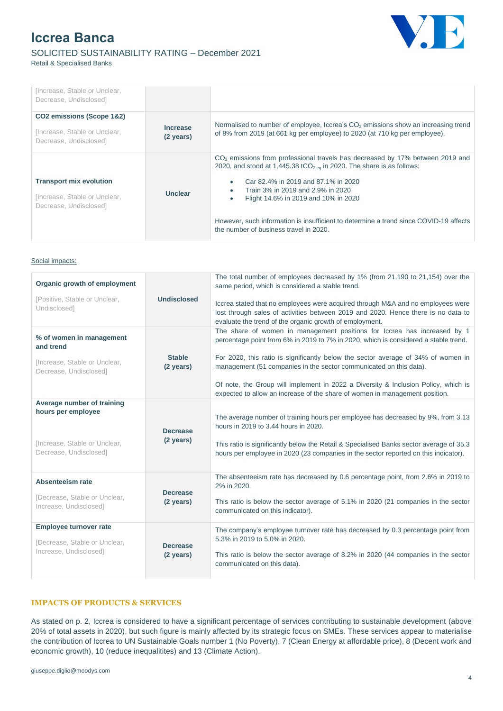### SOLICITED SUSTAINABILITY RATING – December 2021 Retail & Specialised Banks



| fincrease, Stable or Unclear,<br>Decrease, Undisclosed]                                   |                              |                                                                                                                                                                                                                                                                                                                                                                                                                                          |
|-------------------------------------------------------------------------------------------|------------------------------|------------------------------------------------------------------------------------------------------------------------------------------------------------------------------------------------------------------------------------------------------------------------------------------------------------------------------------------------------------------------------------------------------------------------------------------|
| CO2 emissions (Scope 1&2)<br>flncrease, Stable or Unclear,<br>Decrease, Undisclosed]      | <b>Increase</b><br>(2 years) | Normalised to number of employee, Iccrea's CO <sub>2</sub> emissions show an increasing trend<br>of 8% from 2019 (at 661 kg per employee) to 2020 (at 710 kg per employee).                                                                                                                                                                                                                                                              |
| <b>Transport mix evolution</b><br>flncrease, Stable or Unclear,<br>Decrease, Undisclosed] | Unclear                      | $CO2$ emissions from professional travels has decreased by 17% between 2019 and<br>2020, and stood at 1,445.38 tCO <sub>2.eq</sub> in 2020. The share is as follows:<br>Car 82.4% in 2019 and 87.1% in 2020<br>Train 3% in 2019 and 2.9% in 2020<br>Flight 14.6% in 2019 and 10% in 2020<br>$\bullet$<br>However, such information is insufficient to determine a trend since COVID-19 affects<br>the number of business travel in 2020. |

#### Social impacts:

| Organic growth of employment                                                                                |                                      | The total number of employees decreased by 1% (from 21,190 to 21,154) over the<br>same period, which is considered a stable trend.                                                                                                                                                                         |
|-------------------------------------------------------------------------------------------------------------|--------------------------------------|------------------------------------------------------------------------------------------------------------------------------------------------------------------------------------------------------------------------------------------------------------------------------------------------------------|
| [Positive, Stable or Unclear,<br>Undisclosed]                                                               | <b>Undisclosed</b>                   | Iccrea stated that no employees were acquired through M&A and no employees were<br>lost through sales of activities between 2019 and 2020. Hence there is no data to<br>evaluate the trend of the organic growth of employment.                                                                            |
| % of women in management<br>and trend                                                                       |                                      | The share of women in management positions for Iccrea has increased by 1<br>percentage point from 6% in 2019 to 7% in 2020, which is considered a stable trend.                                                                                                                                            |
| [Increase, Stable or Unclear,<br>Decrease, Undisclosed]                                                     | <b>Stable</b><br>$(2 \text{ years})$ | For 2020, this ratio is significantly below the sector average of 34% of women in<br>management (51 companies in the sector communicated on this data).                                                                                                                                                    |
|                                                                                                             |                                      | Of note, the Group will implement in 2022 a Diversity & Inclusion Policy, which is<br>expected to allow an increase of the share of women in management position.                                                                                                                                          |
| Average number of training<br>hours per employee<br>[Increase, Stable or Unclear,<br>Decrease, Undisclosed] | <b>Decrease</b><br>(2 years)         | The average number of training hours per employee has decreased by 9%, from 3.13<br>hours in 2019 to 3.44 hours in 2020.<br>This ratio is significantly below the Retail & Specialised Banks sector average of 35.3<br>hours per employee in 2020 (23 companies in the sector reported on this indicator). |
|                                                                                                             |                                      |                                                                                                                                                                                                                                                                                                            |
| Absenteeism rate                                                                                            | <b>Decrease</b>                      | The absenteeism rate has decreased by 0.6 percentage point, from 2.6% in 2019 to<br>2% in 2020.                                                                                                                                                                                                            |
| [Decrease, Stable or Unclear,<br>Increase, Undisclosed]                                                     | $(2 \text{ years})$                  | This ratio is below the sector average of 5.1% in 2020 (21 companies in the sector<br>communicated on this indicator).                                                                                                                                                                                     |
| <b>Employee turnover rate</b>                                                                               |                                      | The company's employee turnover rate has decreased by 0.3 percentage point from<br>5.3% in 2019 to 5.0% in 2020.                                                                                                                                                                                           |
| [Decrease, Stable or Unclear,<br>Increase, Undisclosed]                                                     | <b>Decrease</b><br>(2 years)         | This ratio is below the sector average of 8.2% in 2020 (44 companies in the sector<br>communicated on this data).                                                                                                                                                                                          |

### **IMPACTS OF PRODUCTS & SERVICES**

As stated on p. 2, Iccrea is considered to have a significant percentage of services contributing to sustainable development (above 20% of total assets in 2020), but such figure is mainly affected by its strategic focus on SMEs. These services appear to materialise the contribution of Iccrea to UN Sustainable Goals number 1 (No Poverty), 7 (Clean Energy at affordable price), 8 (Decent work and economic growth), 10 (reduce inequalitites) and 13 (Climate Action).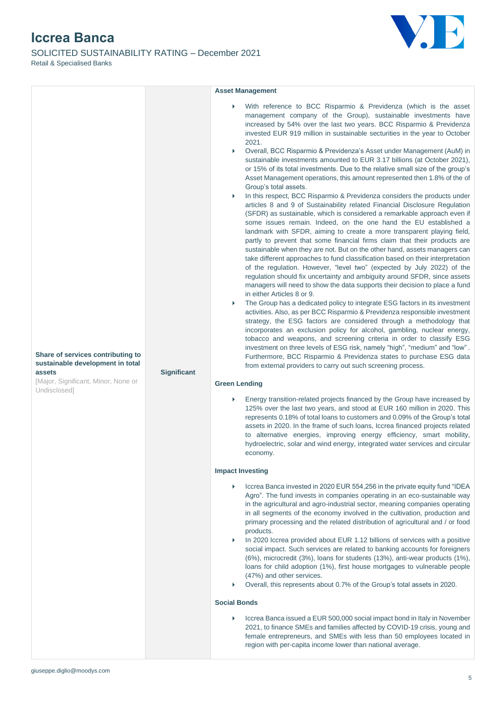SOLICITED SUSTAINABILITY RATING – December 2021 Retail & Specialised Banks



|                                                                                                                                                       |                                                                                                                                                                                                                                                                                                                                                                                                                                                                                                                                                                                                                                                                                                                                                                                                                                                                                                                                                                                                                                                                                                                                                                                                                                                                                                                                                                                                                                                                                                                                                                                                                                                                                                                                                                                                                                                                                                                                                                                                                                                                                                                                                                                                       | <b>Asset Management</b>                                                                                                                                                                                                                                                                                                                                                                                                                                                                                                                                                                                                                                                                                                                                                                                                                                                         |
|-------------------------------------------------------------------------------------------------------------------------------------------------------|-------------------------------------------------------------------------------------------------------------------------------------------------------------------------------------------------------------------------------------------------------------------------------------------------------------------------------------------------------------------------------------------------------------------------------------------------------------------------------------------------------------------------------------------------------------------------------------------------------------------------------------------------------------------------------------------------------------------------------------------------------------------------------------------------------------------------------------------------------------------------------------------------------------------------------------------------------------------------------------------------------------------------------------------------------------------------------------------------------------------------------------------------------------------------------------------------------------------------------------------------------------------------------------------------------------------------------------------------------------------------------------------------------------------------------------------------------------------------------------------------------------------------------------------------------------------------------------------------------------------------------------------------------------------------------------------------------------------------------------------------------------------------------------------------------------------------------------------------------------------------------------------------------------------------------------------------------------------------------------------------------------------------------------------------------------------------------------------------------------------------------------------------------------------------------------------------------|---------------------------------------------------------------------------------------------------------------------------------------------------------------------------------------------------------------------------------------------------------------------------------------------------------------------------------------------------------------------------------------------------------------------------------------------------------------------------------------------------------------------------------------------------------------------------------------------------------------------------------------------------------------------------------------------------------------------------------------------------------------------------------------------------------------------------------------------------------------------------------|
| Share of services contributing to<br>sustainable development in total<br>Significant<br>assets<br>[Major, Significant, Minor, None or<br>Undisclosed] | With reference to BCC Risparmio & Previdenza (which is the asset<br>management company of the Group), sustainable investments have<br>increased by 54% over the last two years. BCC Risparmio & Previdenza<br>invested EUR 919 million in sustainable secturities in the year to October<br>2021.<br>Overall, BCC Risparmio & Previdenza's Asset under Management (AuM) in<br>Þ<br>sustainable investments amounted to EUR 3.17 billions (at October 2021),<br>or 15% of its total investments. Due to the relative small size of the group's<br>Asset Management operations, this amount represented then 1.8% of the of<br>Group's total assets.<br>In this respect, BCC Risparmio & Previdenza considers the products under<br>Þ.<br>articles 8 and 9 of Sustainability related Financial Disclosure Regulation<br>(SFDR) as sustainable, which is considered a remarkable approach even if<br>some issues remain. Indeed, on the one hand the EU established a<br>landmark with SFDR, aiming to create a more transparent playing field,<br>partly to prevent that some financial firms claim that their products are<br>sustainable when they are not. But on the other hand, assets managers can<br>take different approaches to fund classification based on their interpretation<br>of the regulation. However, "level two" (expected by July 2022) of the<br>regulation should fix uncertainty and ambiguity around SFDR, since assets<br>managers will need to show the data supports their decision to place a fund<br>in either Articles 8 or 9.<br>The Group has a dedicated policy to integrate ESG factors in its investment<br>Þ<br>activities. Also, as per BCC Risparmio & Previdenza responsible investment<br>strategy, the ESG factors are considered through a methodology that<br>incorporates an exclusion policy for alcohol, gambling, nuclear energy,<br>tobacco and weapons, and screening criteria in order to classify ESG<br>investment on three levels of ESG risk, namely "high", "medium" and "low".<br>Furthermore, BCC Risparmio & Previdenza states to purchase ESG data<br>from external providers to carry out such screening process.<br><b>Green Lending</b> |                                                                                                                                                                                                                                                                                                                                                                                                                                                                                                                                                                                                                                                                                                                                                                                                                                                                                 |
|                                                                                                                                                       |                                                                                                                                                                                                                                                                                                                                                                                                                                                                                                                                                                                                                                                                                                                                                                                                                                                                                                                                                                                                                                                                                                                                                                                                                                                                                                                                                                                                                                                                                                                                                                                                                                                                                                                                                                                                                                                                                                                                                                                                                                                                                                                                                                                                       | Energy transition-related projects financed by the Group have increased by<br>125% over the last two years, and stood at EUR 160 million in 2020. This<br>represents 0.18% of total loans to customers and 0.09% of the Group's total<br>assets in 2020. In the frame of such loans, Iccrea financed projects related                                                                                                                                                                                                                                                                                                                                                                                                                                                                                                                                                           |
|                                                                                                                                                       |                                                                                                                                                                                                                                                                                                                                                                                                                                                                                                                                                                                                                                                                                                                                                                                                                                                                                                                                                                                                                                                                                                                                                                                                                                                                                                                                                                                                                                                                                                                                                                                                                                                                                                                                                                                                                                                                                                                                                                                                                                                                                                                                                                                                       | to alternative energies, improving energy efficiency, smart mobility,<br>hydroelectric, solar and wind energy, integrated water services and circular<br>economy.                                                                                                                                                                                                                                                                                                                                                                                                                                                                                                                                                                                                                                                                                                               |
|                                                                                                                                                       |                                                                                                                                                                                                                                                                                                                                                                                                                                                                                                                                                                                                                                                                                                                                                                                                                                                                                                                                                                                                                                                                                                                                                                                                                                                                                                                                                                                                                                                                                                                                                                                                                                                                                                                                                                                                                                                                                                                                                                                                                                                                                                                                                                                                       | <b>Impact Investing</b>                                                                                                                                                                                                                                                                                                                                                                                                                                                                                                                                                                                                                                                                                                                                                                                                                                                         |
|                                                                                                                                                       |                                                                                                                                                                                                                                                                                                                                                                                                                                                                                                                                                                                                                                                                                                                                                                                                                                                                                                                                                                                                                                                                                                                                                                                                                                                                                                                                                                                                                                                                                                                                                                                                                                                                                                                                                                                                                                                                                                                                                                                                                                                                                                                                                                                                       | Iccrea Banca invested in 2020 EUR 554,256 in the private equity fund "IDEA<br>Agro". The fund invests in companies operating in an eco-sustainable way<br>in the agricultural and agro-industrial sector, meaning companies operating<br>in all segments of the economy involved in the cultivation, production and<br>primary processing and the related distribution of agricultural and / or food<br>products.<br>In 2020 Iccrea provided about EUR 1.12 billions of services with a positive<br>Þ<br>social impact. Such services are related to banking accounts for foreigners<br>(6%), microcredit (3%), loans for students (13%), anti-wear products (1%),<br>loans for child adoption (1%), first house mortgages to vulnerable people<br>(47%) and other services.<br>Overall, this represents about 0.7% of the Group's total assets in 2020.<br><b>Social Bonds</b> |
|                                                                                                                                                       |                                                                                                                                                                                                                                                                                                                                                                                                                                                                                                                                                                                                                                                                                                                                                                                                                                                                                                                                                                                                                                                                                                                                                                                                                                                                                                                                                                                                                                                                                                                                                                                                                                                                                                                                                                                                                                                                                                                                                                                                                                                                                                                                                                                                       | Iccrea Banca issued a EUR 500,000 social impact bond in Italy in November<br>2021, to finance SMEs and families affected by COVID-19 crisis, young and                                                                                                                                                                                                                                                                                                                                                                                                                                                                                                                                                                                                                                                                                                                          |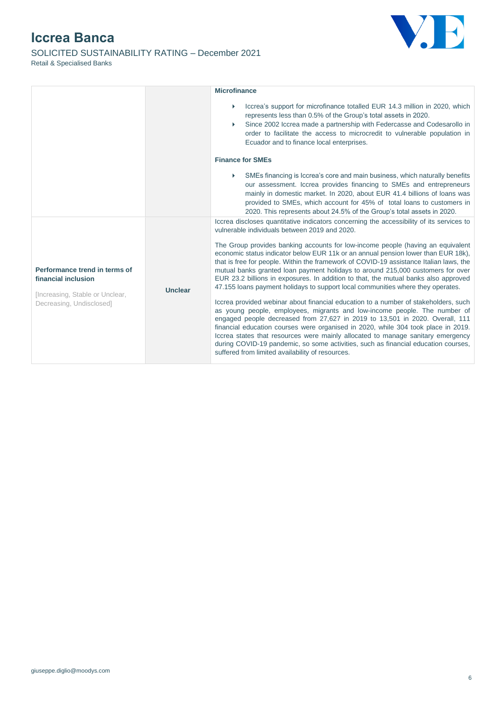### SOLICITED SUSTAINABILITY RATING – December 2021 Retail & Specialised Banks



|                                                                                                                                       |                                                                                                                                                                                                                                                                                                                                                                                                                                                                                                                                                                    | <b>Microfinance</b>                                                                                                                                                                                                                                                                                                                                                                                                                                                                                                         |
|---------------------------------------------------------------------------------------------------------------------------------------|--------------------------------------------------------------------------------------------------------------------------------------------------------------------------------------------------------------------------------------------------------------------------------------------------------------------------------------------------------------------------------------------------------------------------------------------------------------------------------------------------------------------------------------------------------------------|-----------------------------------------------------------------------------------------------------------------------------------------------------------------------------------------------------------------------------------------------------------------------------------------------------------------------------------------------------------------------------------------------------------------------------------------------------------------------------------------------------------------------------|
|                                                                                                                                       |                                                                                                                                                                                                                                                                                                                                                                                                                                                                                                                                                                    | Iccrea's support for microfinance totalled EUR 14.3 million in 2020, which<br>represents less than 0.5% of the Group's total assets in 2020.<br>Since 2002 Iccrea made a partnership with Federcasse and Codesarollo in<br>order to facilitate the access to microcredit to vulnerable population in<br>Ecuador and to finance local enterprises.                                                                                                                                                                           |
|                                                                                                                                       |                                                                                                                                                                                                                                                                                                                                                                                                                                                                                                                                                                    | <b>Finance for SMEs</b>                                                                                                                                                                                                                                                                                                                                                                                                                                                                                                     |
|                                                                                                                                       |                                                                                                                                                                                                                                                                                                                                                                                                                                                                                                                                                                    | SMEs financing is Iccrea's core and main business, which naturally benefits<br>our assessment. Iccrea provides financing to SMEs and entrepreneurs<br>mainly in domestic market. In 2020, about EUR 41.4 billions of loans was<br>provided to SMEs, which account for 45% of total loans to customers in<br>2020. This represents about 24.5% of the Group's total assets in 2020.                                                                                                                                          |
|                                                                                                                                       |                                                                                                                                                                                                                                                                                                                                                                                                                                                                                                                                                                    | Iccrea discloses quantitative indicators concerning the accessibility of its services to<br>vulnerable individuals between 2019 and 2020.                                                                                                                                                                                                                                                                                                                                                                                   |
| Performance trend in terms of<br>financial inclusion<br><b>Unclear</b><br>[Increasing, Stable or Unclear,<br>Decreasing, Undisclosed] |                                                                                                                                                                                                                                                                                                                                                                                                                                                                                                                                                                    | The Group provides banking accounts for low-income people (having an equivalent<br>economic status indicator below EUR 11k or an annual pension lower than EUR 18k),<br>that is free for people. Within the framework of COVID-19 assistance Italian laws, the<br>mutual banks granted loan payment holidays to around 215,000 customers for over<br>EUR 23.2 billions in exposures. In addition to that, the mutual banks also approved<br>47.155 loans payment holidays to support local communities where they operates. |
|                                                                                                                                       | Iccrea provided webinar about financial education to a number of stakeholders, such<br>as young people, employees, migrants and low-income people. The number of<br>engaged people decreased from 27,627 in 2019 to 13,501 in 2020. Overall, 111<br>financial education courses were organised in 2020, while 304 took place in 2019.<br>Iccrea states that resources were mainly allocated to manage sanitary emergency<br>during COVID-19 pandemic, so some activities, such as financial education courses,<br>suffered from limited availability of resources. |                                                                                                                                                                                                                                                                                                                                                                                                                                                                                                                             |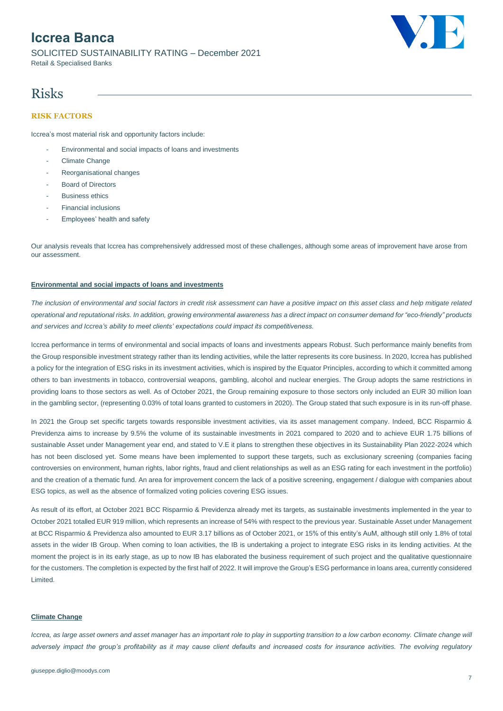SOLICITED SUSTAINABILITY RATING – December 2021 Retail & Specialised Banks



## Risks

### **RISK FACTORS**

Iccrea's most material risk and opportunity factors include:

- Environmental and social impacts of loans and investments
- Climate Change
- Reorganisational changes
- Board of Directors
- **Busingss ethics**
- Financial inclusions
- Employees' health and safety

Our analysis reveals that Iccrea has comprehensively addressed most of these challenges, although some areas of improvement have arose from our assessment.

### **Environmental and social impacts of loans and investments**

*The inclusion of environmental and social factors in credit risk assessment can have a positive impact on this asset class and help mitigate related operational and reputational risks. In addition, growing environmental awareness has a direct impact on consumer demand for "eco-friendly" products and services and Iccrea's ability to meet clients' expectations could impact its competitiveness.*

Iccrea performance in terms of environmental and social impacts of loans and investments appears Robust. Such performance mainly benefits from the Group responsible investment strategy rather than its lending activities, while the latter represents its core business. In 2020, Iccrea has published a policy for the integration of ESG risks in its investment activities, which is inspired by the Equator Principles, according to which it committed among others to ban investments in tobacco, controversial weapons, gambling, alcohol and nuclear energies. The Group adopts the same restrictions in providing loans to those sectors as well. As of October 2021, the Group remaining exposure to those sectors only included an EUR 30 million loan in the gambling sector, (representing 0.03% of total loans granted to customers in 2020). The Group stated that such exposure is in its run-off phase.

In 2021 the Group set specific targets towards responsible investment activities, via its asset management company. Indeed, BCC Risparmio & Previdenza aims to increase by 9.5% the volume of its sustainable investments in 2021 compared to 2020 and to achieve EUR 1.75 billions of sustainable Asset under Management year end, and stated to V.E it plans to strengthen these objectives in its Sustainability Plan 2022-2024 which has not been disclosed yet. Some means have been implemented to support these targets, such as exclusionary screening (companies facing controversies on environment, human rights, labor rights, fraud and client relationships as well as an ESG rating for each investment in the portfolio) and the creation of a thematic fund. An area for improvement concern the lack of a positive screening, engagement / dialogue with companies about ESG topics, as well as the absence of formalized voting policies covering ESG issues.

As result of its effort, at October 2021 BCC Risparmio & Previdenza already met its targets, as sustainable investments implemented in the year to October 2021 totalled EUR 919 million, which represents an increase of 54% with respect to the previous year. Sustainable Asset under Management at BCC Risparmio & Previdenza also amounted to EUR 3.17 billions as of October 2021, or 15% of this entity's AuM, although still only 1.8% of total assets in the wider IB Group. When coming to loan activities, the IB is undertaking a project to integrate ESG risks in its lending activities. At the moment the project is in its early stage, as up to now IB has elaborated the business requirement of such project and the qualitative questionnaire for the customers. The completion is expected by the first half of 2022. It will improve the Group's ESG performance in loans area, currently considered Limited.

#### **Climate Change**

*Iccrea, as large asset owners and asset manager has an important role to play in supporting transition to a low carbon economy. Climate change will adversely impact the group's profitability as it may cause client defaults and increased costs for insurance activities. The evolving regulatory*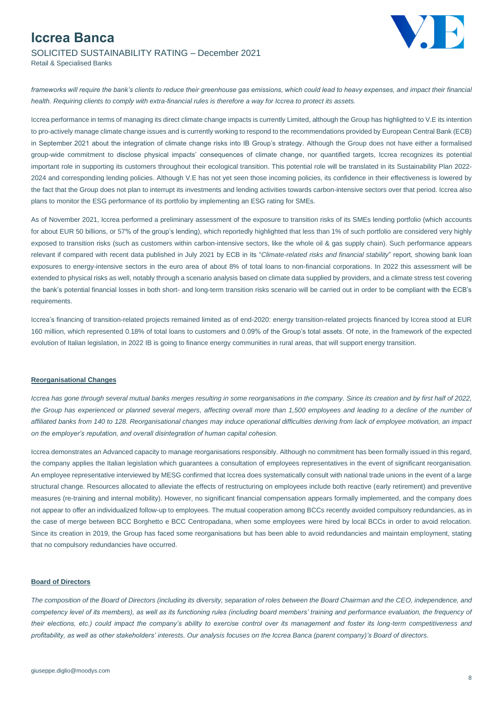

# SOLICITED SUSTAINABILITY RATING – December 2021

Retail & Specialised Banks

*frameworks will require the bank's clients to reduce their greenhouse gas emissions, which could lead to heavy expenses, and impact their financial health. Requiring clients to comply with extra-financial rules is therefore a way for Iccrea to protect its assets.*

Iccrea performance in terms of managing its direct climate change impacts is currently Limited, although the Group has highlighted to V.E its intention to pro-actively manage climate change issues and is currently working to respond to the recommendations provided by European Central Bank (ECB) in September 2021 about the integration of climate change risks into IB Group's strategy. Although the Group does not have either a formalised group-wide commitment to disclose physical impacts' consequences of climate change, nor quantified targets, Iccrea recognizes its potential important role in supporting its customers throughout their ecological transition. This potential role will be translated in its Sustainability Plan 2022- 2024 and corresponding lending policies. Although V.E has not yet seen those incoming policies, its confidence in their effectiveness is lowered by the fact that the Group does not plan to interrupt its investments and lending activities towards carbon-intensive sectors over that period. Iccrea also plans to monitor the ESG performance of its portfolio by implementing an ESG rating for SMEs.

As of November 2021, Iccrea performed a preliminary assessment of the exposure to transition risks of its SMEs lending portfolio (which accounts for about EUR 50 billions, or 57% of the group's lending), which reportedly highlighted that less than 1% of such portfolio are considered very highly exposed to transition risks (such as customers within carbon-intensive sectors, like the whole oil & gas supply chain). Such performance appears relevant if compared with recent data published in July 2021 by ECB in its "*Climate-related risks and financial stability*" report, showing bank loan exposures to energy-intensive sectors in the euro area of about 8% of total loans to non-financial corporations. In 2022 this assessment will be extended to physical risks as well, notably through a scenario analysis based on climate data supplied by providers, and a climate stress test covering the bank's potential financial losses in both short- and long-term transition risks scenario will be carried out in order to be compliant with the ECB's requirements.

Iccrea's financing of transition-related projects remained limited as of end-2020: energy transition-related projects financed by Iccrea stood at EUR 160 million, which represented 0.18% of total loans to customers and 0.09% of the Group's total assets. Of note, in the framework of the expected evolution of Italian legislation, in 2022 IB is going to finance energy communities in rural areas, that will support energy transition.

#### **Reorganisational Changes**

*Iccrea has gone through several mutual banks merges resulting in some reorganisations in the company. Since its creation and by first half of 2022,*  the Group has experienced or planned several megers, affecting overall more than 1,500 employees and leading to a decline of the number of *affiliated banks from 140 to 128. Reorganisational changes may induce operational difficulties deriving from lack of employee motivation, an impact on the employer's reputation, and overall disintegration of human capital cohesion.* 

Iccrea demonstrates an Advanced capacity to manage reorganisations responsibly. Although no commitment has been formally issued in this regard, the company applies the Italian legislation which guarantees a consultation of employees representatives in the event of significant reorganisation. An employee representative interviewed by MESG confirmed that Iccrea does systematically consult with national trade unions in the event of a large structural change. Resources allocated to alleviate the effects of restructuring on employees include both reactive (early retirement) and preventive measures (re-training and internal mobility). However, no significant financial compensation appears formally implemented, and the company does not appear to offer an individualized follow-up to employees. The mutual cooperation among BCCs recently avoided compulsory redundancies, as in the case of merge between BCC Borghetto e BCC Centropadana, when some employees were hired by local BCCs in order to avoid relocation. Since its creation in 2019, the Group has faced some reorganisations but has been able to avoid redundancies and maintain employment, stating that no compulsory redundancies have occurred.

#### **Board of Directors**

*The composition of the Board of Directors (including its diversity, separation of roles between the Board Chairman and the CEO, independence, and*  competency level of its members), as well as its functioning rules (including board members' training and performance evaluation, the frequency of *their elections, etc.) could impact the company's ability to exercise control over its management and foster its long-term competitiveness and profitability, as well as other stakeholders' interests. Our analysis focuses on the Iccrea Banca (parent company)'s Board of directors.*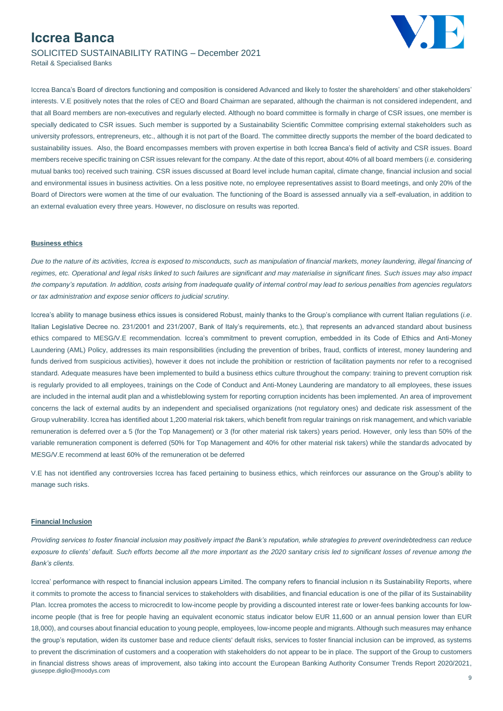

SOLICITED SUSTAINABILITY RATING – December 2021 Retail & Specialised Banks

Iccrea Banca's Board of directors functioning and composition is considered Advanced and likely to foster the shareholders' and other stakeholders' interests. V.E positively notes that the roles of CEO and Board Chairman are separated, although the chairman is not considered independent, and that all Board members are non-executives and regularly elected. Although no board committee is formally in charge of CSR issues, one member is specially dedicated to CSR issues. Such member is supported by a Sustainability Scientific Committee comprising external stakeholders such as university professors, entrepreneurs, etc., although it is not part of the Board. The committee directly supports the member of the board dedicated to sustainability issues. Also, the Board encompasses members with proven expertise in both Iccrea Banca's field of activity and CSR issues. Board members receive specific training on CSR issues relevant for the company. At the date of this report, about 40% of all board members (*i.e.* considering mutual banks too) received such training. CSR issues discussed at Board level include human capital, climate change, financial inclusion and social and environmental issues in business activities. On a less positive note, no employee representatives assist to Board meetings, and only 20% of the Board of Directors were women at the time of our evaluation. The functioning of the Board is assessed annually via a self-evaluation, in addition to an external evaluation every three years. However, no disclosure on results was reported.

#### **Business ethics**

Due to the nature of its activities, Iccrea is exposed to misconducts, such as manipulation of financial markets, money laundering, illegal financing of *regimes, etc. Operational and legal risks linked to such failures are significant and may materialise in significant fines. Such issues may also impact the company's reputation. In addition, costs arising from inadequate quality of internal control may lead to serious penalties from agencies regulators or tax administration and expose senior officers to judicial scrutiny.*

Iccrea's ability to manage business ethics issues is considered Robust, mainly thanks to the Group's compliance with current Italian regulations (*i.e*. Italian Legislative Decree no. 231/2001 and 231/2007, Bank of Italy's requirements, etc.), that represents an advanced standard about business ethics compared to MESG/V.E recommendation. Iccrea's commitment to prevent corruption, embedded in its Code of Ethics and Anti-Money Laundering (AML) Policy, addresses its main responsibilities (including the prevention of bribes, fraud, conflicts of interest, money laundering and funds derived from suspicious activities), however it does not include the prohibition or restriction of facilitation payments nor refer to a recognised standard. Adequate measures have been implemented to build a business ethics culture throughout the company: training to prevent corruption risk is regularly provided to all employees, trainings on the Code of Conduct and Anti-Money Laundering are mandatory to all employees, these issues are included in the internal audit plan and a whistleblowing system for reporting corruption incidents has been implemented. An area of improvement concerns the lack of external audits by an independent and specialised organizations (not regulatory ones) and dedicate risk assessment of the Group vulnerability. Iccrea has identified about 1,200 material risk takers, which benefit from regular trainings on risk management, and which variable remuneration is deferred over a 5 (for the Top Management) or 3 (for other material risk takers) years period. However, only less than 50% of the variable remuneration component is deferred (50% for Top Management and 40% for other material risk takers) while the standards advocated by MESG/V.E recommend at least 60% of the remuneration ot be deferred

V.E has not identified any controversies Iccrea has faced pertaining to business ethics, which reinforces our assurance on the Group's ability to manage such risks.

#### **Financial Inclusion**

*Providing services to foster financial inclusion may positively impact the Bank's reputation, while strategies to prevent overindebtedness can reduce*  exposure to clients' default. Such efforts become all the more important as the 2020 sanitary crisis led to significant losses of revenue among the *Bank's clients.*

giuseppe.diglio@moodys.com Iccrea' performance with respect to financial inclusion appears Limited. The company refers to financial inclusion n its Sustainability Reports, where it commits to promote the access to financial services to stakeholders with disabilities, and financial education is one of the pillar of its Sustainability Plan. Iccrea promotes the access to microcredit to low-income people by providing a discounted interest rate or lower-fees banking accounts for lowincome people (that is free for people having an equivalent economic status indicator below EUR 11,600 or an annual pension lower than EUR 18,000), and courses about financial education to young people, employees, low-income people and migrants. Although such measures may enhance the group's reputation, widen its customer base and reduce clients' default risks, services to foster financial inclusion can be improved, as systems to prevent the discrimination of customers and a cooperation with stakeholders do not appear to be in place. The support of the Group to customers in financial distress shows areas of improvement, also taking into account the European Banking Authority Consumer Trends Report 2020/2021,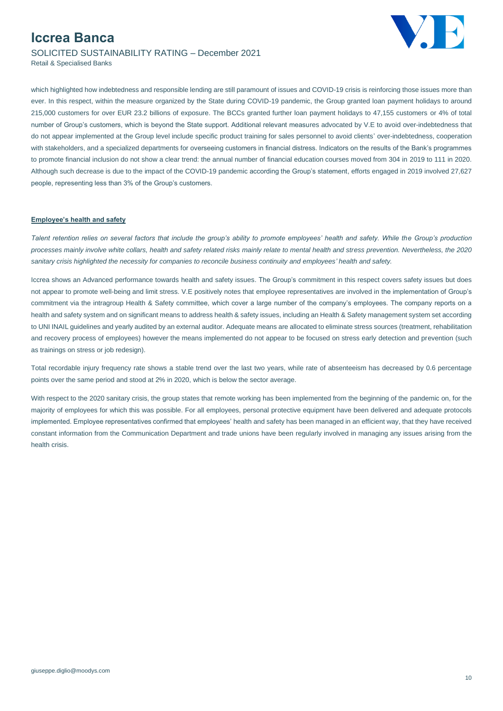## **Iccrea Banca** SOLICITED SUSTAINABILITY RATING – December 2021



Retail & Specialised Banks

which highlighted how indebtedness and responsible lending are still paramount of issues and COVID-19 crisis is reinforcing those issues more than ever. In this respect, within the measure organized by the State during COVID-19 pandemic, the Group granted loan payment holidays to around 215,000 customers for over EUR 23.2 billions of exposure. The BCCs granted further loan payment holidays to 47,155 customers or 4% of total number of Group's customers, which is beyond the State support. Additional relevant measures advocated by V.E to avoid over-indebtedness that do not appear implemented at the Group level include specific product training for sales personnel to avoid clients' over-indebtedness, cooperation with stakeholders, and a specialized departments for overseeing customers in financial distress. Indicators on the results of the Bank's programmes to promote financial inclusion do not show a clear trend: the annual number of financial education courses moved from 304 in 2019 to 111 in 2020. Although such decrease is due to the impact of the COVID-19 pandemic according the Group's statement, efforts engaged in 2019 involved 27,627 people, representing less than 3% of the Group's customers.

#### **Employee's health and safety**

*Talent retention relies on several factors that include the group's ability to promote employees' health and safety. While the Group's production processes mainly involve white collars, health and safety related risks mainly relate to mental health and stress prevention. Nevertheless, the 2020 sanitary crisis highlighted the necessity for companies to reconcile business continuity and employees' health and safety.*

Iccrea shows an Advanced performance towards health and safety issues. The Group's commitment in this respect covers safety issues but does not appear to promote well-being and limit stress. V.E positively notes that employee representatives are involved in the implementation of Group's commitment via the intragroup Health & Safety committee, which cover a large number of the company's employees. The company reports on a health and safety system and on significant means to address health & safety issues, including an Health & Safety management system set according to UNI INAIL guidelines and yearly audited by an external auditor. Adequate means are allocated to eliminate stress sources (treatment, rehabilitation and recovery process of employees) however the means implemented do not appear to be focused on stress early detection and prevention (such as trainings on stress or job redesign).

Total recordable injury frequency rate shows a stable trend over the last two years, while rate of absenteeism has decreased by 0.6 percentage points over the same period and stood at 2% in 2020, which is below the sector average.

With respect to the 2020 sanitary crisis, the group states that remote working has been implemented from the beginning of the pandemic on, for the majority of employees for which this was possible. For all employees, personal protective equipment have been delivered and adequate protocols implemented. Employee representatives confirmed that employees' health and safety has been managed in an efficient way, that they have received constant information from the Communication Department and trade unions have been regularly involved in managing any issues arising from the health crisis.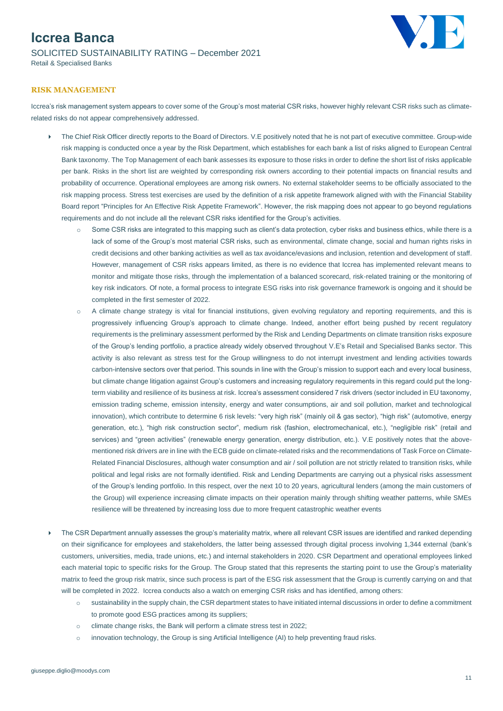## **Iccrea Banca** SOLICITED SUSTAINABILITY RATING – December 2021 Retail & Specialised Banks



### **RISK MANAGEMENT**

Iccrea's risk management system appears to cover some of the Group's most material CSR risks, however highly relevant CSR risks such as climaterelated risks do not appear comprehensively addressed.

- ▶ The Chief Risk Officer directly reports to the Board of Directors. V.E positively noted that he is not part of executive committee. Group-wide risk mapping is conducted once a year by the Risk Department, which establishes for each bank a list of risks aligned to European Central Bank taxonomy. The Top Management of each bank assesses its exposure to those risks in order to define the short list of risks applicable per bank. Risks in the short list are weighted by corresponding risk owners according to their potential impacts on financial results and probability of occurrence. Operational employees are among risk owners. No external stakeholder seems to be officially associated to the risk mapping process. Stress test exercises are used by the definition of a risk appetite framework aligned with with the Financial Stability Board report "Principles for An Effective Risk Appetite Framework". However, the risk mapping does not appear to go beyond regulations requirements and do not include all the relevant CSR risks identified for the Group's activities.
	- o Some CSR risks are integrated to this mapping such as client's data protection, cyber risks and business ethics, while there is a lack of some of the Group's most material CSR risks, such as environmental, climate change, social and human rights risks in credit decisions and other banking activities as well as tax avoidance/evasions and inclusion, retention and development of staff. However, management of CSR risks appears limited, as there is no evidence that Iccrea has implemented relevant means to monitor and mitigate those risks, through the implementation of a balanced scorecard, risk-related training or the monitoring of key risk indicators. Of note, a formal process to integrate ESG risks into risk governance framework is ongoing and it should be completed in the first semester of 2022.
	- o A climate change strategy is vital for financial institutions, given evolving regulatory and reporting requirements, and this is progressively influencing Group's approach to climate change. Indeed, another effort being pushed by recent regulatory requirements is the preliminary assessment performed by the Risk and Lending Departments on climate transition risks exposure of the Group's lending portfolio, a practice already widely observed throughout V.E's Retail and Specialised Banks sector. This activity is also relevant as stress test for the Group willingness to do not interrupt investment and lending activities towards carbon-intensive sectors over that period. This sounds in line with the Group's mission to support each and every local business, but climate change litigation against Group's customers and increasing regulatory requirements in this regard could put the longterm viability and resilience of its business at risk. Iccrea's assessment considered 7 risk drivers (sector included in EU taxonomy, emission trading scheme, emission intensity, energy and water consumptions, air and soil pollution, market and technological innovation), which contribute to determine 6 risk levels: "very high risk" (mainly oil & gas sector), "high risk" (automotive, energy generation, etc.), "high risk construction sector", medium risk (fashion, electromechanical, etc.), "negligible risk" (retail and services) and "green activities" (renewable energy generation, energy distribution, etc.). V.E positively notes that the abovementioned risk drivers are in line with the ECB guide on climate-related risks and the recommendations of Task Force on Climate-Related Financial Disclosures, although water consumption and air / soil pollution are not strictly related to transition risks, while political and legal risks are not formally identified. Risk and Lending Departments are carrying out a physical risks assessment of the Group's lending portfolio. In this respect, over the next 10 to 20 years, agricultural lenders (among the main customers of the Group) will experience increasing climate impacts on their operation mainly through shifting weather patterns, while SMEs resilience will be threatened by increasing loss due to more frequent catastrophic weather events
- The CSR Department annually assesses the group's materiality matrix, where all relevant CSR issues are identified and ranked depending on their significance for employees and stakeholders, the latter being assessed through digital process involving 1,344 external (bank's customers, universities, media, trade unions, etc.) and internal stakeholders in 2020. CSR Department and operational employees linked each material topic to specific risks for the Group. The Group stated that this represents the starting point to use the Group's materiality matrix to feed the group risk matrix, since such process is part of the ESG risk assessment that the Group is currently carrying on and that will be completed in 2022. Iccrea conducts also a watch on emerging CSR risks and has identified, among others:
	- o sustainability in the supply chain, the CSR department states to have initiated internal discussions in order to define a commitment to promote good ESG practices among its suppliers;
	- o climate change risks, the Bank will perform a climate stress test in 2022;
	- o innovation technology, the Group is sing Artificial Intelligence (AI) to help preventing fraud risks.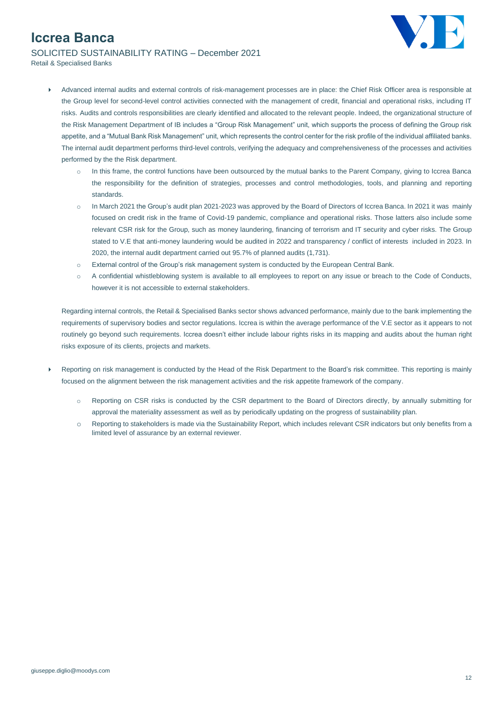

SOLICITED SUSTAINABILITY RATING – December 2021

- Retail & Specialised Banks
	- Advanced internal audits and external controls of risk-management processes are in place: the Chief Risk Officer area is responsible at the Group level for second-level control activities connected with the management of credit, financial and operational risks, including IT risks. Audits and controls responsibilities are clearly identified and allocated to the relevant people. Indeed, the organizational structure of the Risk Management Department of IB includes a "Group Risk Management" unit, which supports the process of defining the Group risk appetite, and a "Mutual Bank Risk Management" unit, which represents the control center for the risk profile of the individual affiliated banks. The internal audit department performs third-level controls, verifying the adequacy and comprehensiveness of the processes and activities performed by the the Risk department.
		- $\circ$  In this frame, the control functions have been outsourced by the mutual banks to the Parent Company, giving to Iccrea Banca the responsibility for the definition of strategies, processes and control methodologies, tools, and planning and reporting standards.
		- o In March 2021 the Group's audit plan 2021-2023 was approved by the Board of Directors of Iccrea Banca. In 2021 it was mainly focused on credit risk in the frame of Covid-19 pandemic, compliance and operational risks. Those latters also include some relevant CSR risk for the Group, such as money laundering, financing of terrorism and IT security and cyber risks. The Group stated to V.E that anti-money laundering would be audited in 2022 and transparency / conflict of interests included in 2023. In 2020, the internal audit department carried out 95.7% of planned audits (1,731).
		- o External control of the Group's risk management system is conducted by the European Central Bank.
		- o A confidential whistleblowing system is available to all employees to report on any issue or breach to the Code of Conducts, however it is not accessible to external stakeholders.

Regarding internal controls, the Retail & Specialised Banks sector shows advanced performance, mainly due to the bank implementing the requirements of supervisory bodies and sector regulations. Iccrea is within the average performance of the V.E sector as it appears to not routinely go beyond such requirements. Iccrea doesn't either include labour rights risks in its mapping and audits about the human right risks exposure of its clients, projects and markets.

- Reporting on risk management is conducted by the Head of the Risk Department to the Board's risk committee. This reporting is mainly focused on the alignment between the risk management activities and the risk appetite framework of the company.
	- o Reporting on CSR risks is conducted by the CSR department to the Board of Directors directly, by annually submitting for approval the materiality assessment as well as by periodically updating on the progress of sustainability plan.
	- o Reporting to stakeholders is made via the Sustainability Report, which includes relevant CSR indicators but only benefits from a limited level of assurance by an external reviewer.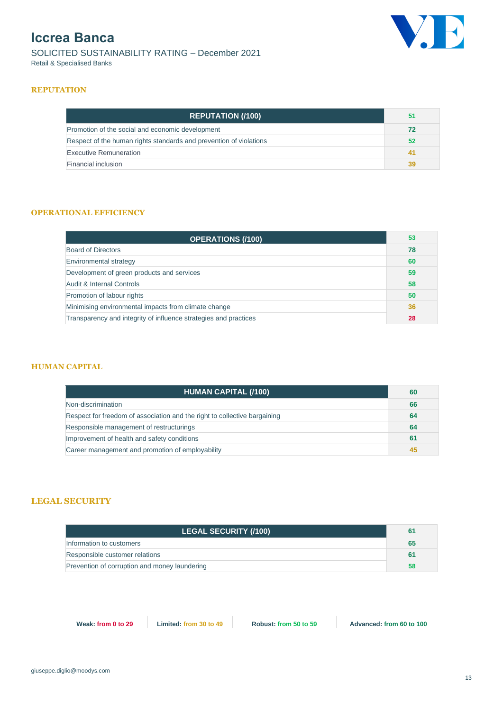SOLICITED SUSTAINABILITY RATING – December 2021 Retail & Specialised Banks



### **REPUTATION**

| <b>REPUTATION (/100)</b>                                           | 51 |
|--------------------------------------------------------------------|----|
| Promotion of the social and economic development                   |    |
| Respect of the human rights standards and prevention of violations |    |
| Executive Remuneration                                             |    |
| Financial inclusion                                                |    |

### **OPERATIONAL EFFICIENCY**

| <b>OPERATIONS (/100)</b>                                         | 53 |
|------------------------------------------------------------------|----|
| <b>Board of Directors</b>                                        |    |
| Environmental strategy                                           |    |
| Development of green products and services                       |    |
| Audit & Internal Controls                                        |    |
| Promotion of labour rights                                       |    |
| Minimising environmental impacts from climate change             |    |
| Transparency and integrity of influence strategies and practices |    |

### **HUMAN CAPITAL**

| <b>HUMAN CAPITAL (/100)</b>                                               | 60 |
|---------------------------------------------------------------------------|----|
| Non-discrimination                                                        | 66 |
| Respect for freedom of association and the right to collective bargaining | 64 |
| Responsible management of restructurings                                  |    |
| Improvement of health and safety conditions                               |    |
| Career management and promotion of employability                          |    |

### **LEGAL SECURITY**

| <b>LEGAL SECURITY (/100)</b>                  | 61 |
|-----------------------------------------------|----|
| Information to customers                      | 65 |
| Responsible customer relations                | 61 |
| Prevention of corruption and money laundering | 58 |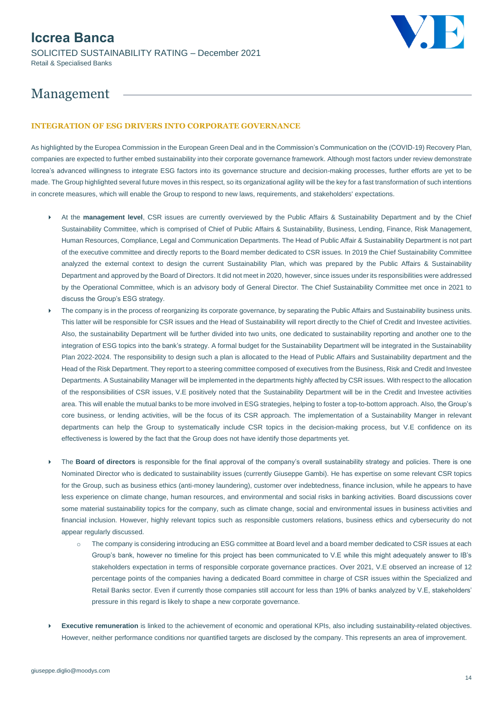## **Iccrea Banca** SOLICITED SUSTAINABILITY RATING – December 2021 Retail & Specialised Banks



# Management

### **INTEGRATION OF ESG DRIVERS INTO CORPORATE GOVERNANCE**

As highlighted by the Europea Commission in the European Green Deal and in the Commission's Communication on the (COVID-19) Recovery Plan, companies are expected to further embed sustainability into their corporate governance framework. Although most factors under review demonstrate Iccrea's advanced willingness to integrate ESG factors into its governance structure and decision-making processes, further efforts are yet to be made. The Group highlighted several future moves in this respect, so its organizational agility will be the key for a fast transformation of such intentions in concrete measures, which will enable the Group to respond to new laws, requirements, and stakeholders' expectations.

- At the **management level**, CSR issues are currently overviewed by the Public Affairs & Sustainability Department and by the Chief Sustainability Committee, which is comprised of Chief of Public Affairs & Sustainability, Business, Lending, Finance, Risk Management, Human Resources, Compliance, Legal and Communication Departments. The Head of Public Affair & Sustainability Department is not part of the executive committee and directly reports to the Board member dedicated to CSR issues. In 2019 the Chief Sustainability Committee analyzed the external context to design the current Sustainability Plan, which was prepared by the Public Affairs & Sustainability Department and approved by the Board of Directors. It did not meet in 2020, however, since issues under its responsibilities were addressed by the Operational Committee, which is an advisory body of General Director. The Chief Sustainability Committee met once in 2021 to discuss the Group's ESG strategy.
- The company is in the process of reorganizing its corporate governance, by separating the Public Affairs and Sustainability business units. This latter will be responsible for CSR issues and the Head of Sustainability will report directly to the Chief of Credit and Investee activities. Also, the sustainability Department will be further divided into two units, one dedicated to sustainability reporting and another one to the integration of ESG topics into the bank's strategy. A formal budget for the Sustainability Department will be integrated in the Sustainability Plan 2022-2024. The responsibility to design such a plan is allocated to the Head of Public Affairs and Sustainability department and the Head of the Risk Department. They report to a steering committee composed of executives from the Business, Risk and Credit and Investee Departments. A Sustainability Manager will be implemented in the departments highly affected by CSR issues. With respect to the allocation of the responsibilities of CSR issues, V.E positively noted that the Sustainability Department will be in the Credit and Investee activities area. This will enable the mutual banks to be more involved in ESG strategies, helping to foster a top-to-bottom approach. Also, the Group's core business, or lending activities, will be the focus of its CSR approach. The implementation of a Sustainability Manger in relevant departments can help the Group to systematically include CSR topics in the decision-making process, but V.E confidence on its effectiveness is lowered by the fact that the Group does not have identify those departments yet.
- The **Board of directors** is responsible for the final approval of the company's overall sustainability strategy and policies. There is one Nominated Director who is dedicated to sustainability issues (currently Giuseppe Gambi). He has expertise on some relevant CSR topics for the Group, such as business ethics (anti-money laundering), customer over indebtedness, finance inclusion, while he appears to have less experience on climate change, human resources, and environmental and social risks in banking activities. Board discussions cover some material sustainability topics for the company, such as climate change, social and environmental issues in business activities and financial inclusion. However, highly relevant topics such as responsible customers relations, business ethics and cybersecurity do not appear regularly discussed.
	- o The company is considering introducing an ESG committee at Board level and a board member dedicated to CSR issues at each Group's bank, however no timeline for this project has been communicated to V.E while this might adequately answer to IB's stakeholders expectation in terms of responsible corporate governance practices. Over 2021, V.E observed an increase of 12 percentage points of the companies having a dedicated Board committee in charge of CSR issues within the Specialized and Retail Banks sector. Even if currently those companies still account for less than 19% of banks analyzed by V.E, stakeholders' pressure in this regard is likely to shape a new corporate governance.
- **Executive remuneration** is linked to the achievement of economic and operational KPIs, also including sustainability-related objectives. However, neither performance conditions nor quantified targets are disclosed by the company. This represents an area of improvement.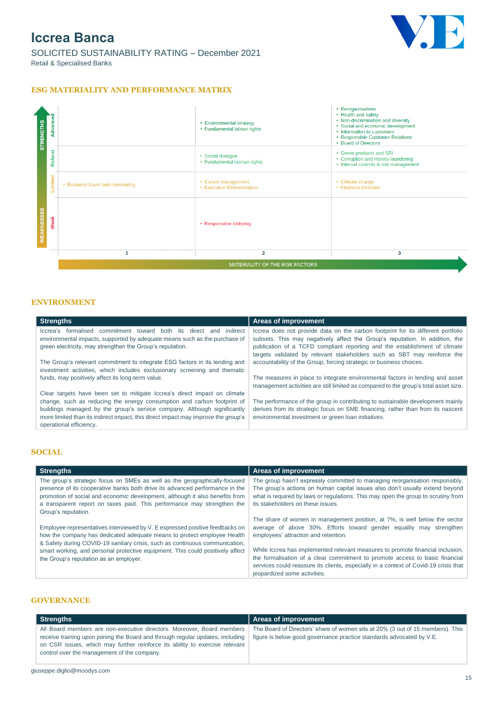

SOLICITED SUSTAINABILITY RATING – December 2021 Retail & Specialised Banks

### **ESG MATERIALITY AND PERFORMANCE MATRIX**



### **ENVIRONMENT**

| Areas of improvement                                                                 |
|--------------------------------------------------------------------------------------|
| Iccrea does not provide data on the carbon footprint for its different portfolio     |
| subsets. This may negatively affect the Group's reputation. In addition, the         |
| publication of a TCFD compliant reporting and the establishment of climate           |
| targets validated by relevant stakeholders such as SBT may reinforce the             |
| accountability of the Group, forcing strategic or business choices.                  |
|                                                                                      |
| The measures in place to integrate environmental factors in lending and asset        |
| management activities are still limited as compared to the group's total asset size. |
|                                                                                      |
| The performance of the group in contributing to sustainable development mainly       |
| derives from its strategic focus on SME financing, rather than from its nascent      |
| environmental investment or green loan initiatives.                                  |
|                                                                                      |
|                                                                                      |

### **SOCIAL**

| <b>Strengths</b>                                                                                                                                                                                                                                                                                                                            | Areas of improvement                                                                                                                                                                                                                                                                   |
|---------------------------------------------------------------------------------------------------------------------------------------------------------------------------------------------------------------------------------------------------------------------------------------------------------------------------------------------|----------------------------------------------------------------------------------------------------------------------------------------------------------------------------------------------------------------------------------------------------------------------------------------|
| The group's strategic focus on SMEs as well as the geographically-focused<br>presence of its cooperative banks both drive its advanced performance in the<br>promotion of social and economic development, although it also benefits from<br>a transparent report on taxes paid. This performance may strengthen the<br>Group's reputation. | The group hasn't expressly committed to managing reorganisation responsibly.<br>The group's actions on human capital issues also don't usually extend beyond<br>what is required by laws or regulations. This may open the group to scrutiny from<br>its stakeholders on these issues. |
| Employee representatives interviewed by V. E expressed positive feedbacks on<br>how the company has dedicated adequate means to protect employee Health<br>& Safety during COVID-19 sanitary crisis, such as continuous communication,                                                                                                      | The share of women in management position, at 7%, is well below the sector<br>average of above 30%. Efforts toward gender equality may strengthen<br>employees' attraction and retention.                                                                                              |
| smart working, and personal protective equipment. This could positively affect<br>the Group's reputation as an employer.                                                                                                                                                                                                                    | While Iccrea has implemented relevant measures to promote financial inclusion,<br>the formalisation of a clear commitment to promote access to basic financial<br>services could reassure its clients, especially in a context of Covid-19 crisis that<br>jeopardized some activities. |

### **GOVERNANCE**

| Strengths                                                                                                                                                                                                                                                                              | Areas of improvement                                                                                                                                   |
|----------------------------------------------------------------------------------------------------------------------------------------------------------------------------------------------------------------------------------------------------------------------------------------|--------------------------------------------------------------------------------------------------------------------------------------------------------|
| All Board members are non-executive directors. Moreover, Board members<br>receive training upon joining the Board and through regular updates, including<br>on CSR issues, which may further reinforce its ability to exercise relevant<br>control over the management of the company. | The Board of Directors' share of women sits at 20% (3 out of 15 members). This<br>figure is below good governance practice standards advocated by V.E. |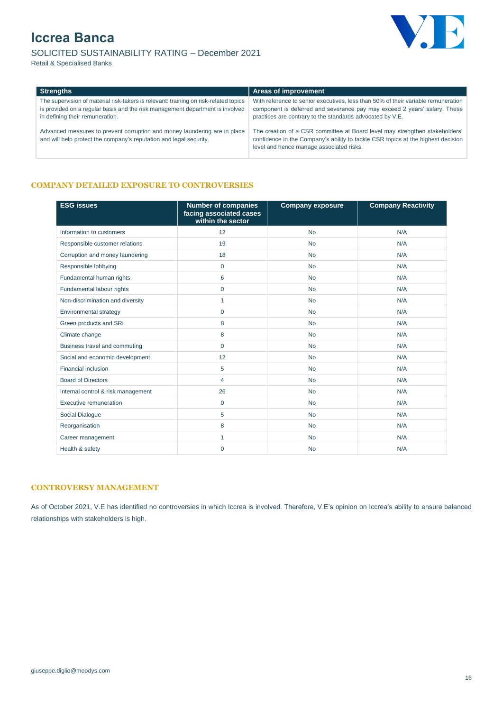





| <b>Strengths</b>                                                                                                                                                                                         | <b>Areas of improvement</b>                                                                                                                                                                                                 |
|----------------------------------------------------------------------------------------------------------------------------------------------------------------------------------------------------------|-----------------------------------------------------------------------------------------------------------------------------------------------------------------------------------------------------------------------------|
| The supervision of material risk-takers is relevant: training on risk-related topics<br>is provided on a regular basis and the risk management department is involved<br>in defining their remuneration. | With reference to senior executives, less than 50% of their variable remuneration<br>component is deferred and severance pay may exceed 2 years' salary. These<br>practices are contrary to the standards advocated by V.E. |
| Advanced measures to prevent corruption and money laundering are in place<br>and will help protect the company's reputation and legal security.                                                          | The creation of a CSR committee at Board level may strengthen stakeholders'<br>confidence in the Company's ability to tackle CSR topics at the highest decision<br>level and hence manage associated risks.                 |

### **COMPANY DETAILED EXPOSURE TO CONTROVERSIES**

| <b>ESG issues</b>                  | <b>Number of companies</b><br>facing associated cases<br>within the sector | <b>Company exposure</b> | <b>Company Reactivity</b> |
|------------------------------------|----------------------------------------------------------------------------|-------------------------|---------------------------|
| Information to customers           | 12                                                                         | <b>No</b>               | N/A                       |
| Responsible customer relations     | 19                                                                         | <b>No</b>               | N/A                       |
| Corruption and money laundering    | 18                                                                         | <b>No</b>               | N/A                       |
| Responsible lobbying               | $\mathbf 0$                                                                | <b>No</b>               | N/A                       |
| Fundamental human rights           | 6                                                                          | <b>No</b>               | N/A                       |
| Fundamental labour rights          | $\mathbf 0$                                                                | <b>No</b>               | N/A                       |
| Non-discrimination and diversity   | $\mathbf{1}$                                                               | <b>No</b>               | N/A                       |
| Environmental strategy             | $\mathbf 0$                                                                | <b>No</b>               | N/A                       |
| Green products and SRI             | 8                                                                          | <b>No</b>               | N/A                       |
| Climate change                     | 8                                                                          | <b>No</b>               | N/A                       |
| Business travel and commuting      | $\mathbf 0$                                                                | <b>No</b>               | N/A                       |
| Social and economic development    | 12                                                                         | <b>No</b>               | N/A                       |
| Financial inclusion                | 5                                                                          | <b>No</b>               | N/A                       |
| <b>Board of Directors</b>          | 4                                                                          | <b>No</b>               | N/A                       |
| Internal control & risk management | 26                                                                         | <b>No</b>               | N/A                       |
| Executive remuneration             | 0                                                                          | <b>No</b>               | N/A                       |
| Social Dialogue                    | 5                                                                          | <b>No</b>               | N/A                       |
| Reorganisation                     | 8                                                                          | <b>No</b>               | N/A                       |
| Career management                  | 1                                                                          | <b>No</b>               | N/A                       |
| Health & safety                    | $\mathbf 0$                                                                | <b>No</b>               | N/A                       |

### **CONTROVERSY MANAGEMENT**

As of October 2021, V.E has identified no controversies in which Iccrea is involved. Therefore, V.E's opinion on Iccrea's ability to ensure balanced relationships with stakeholders is high.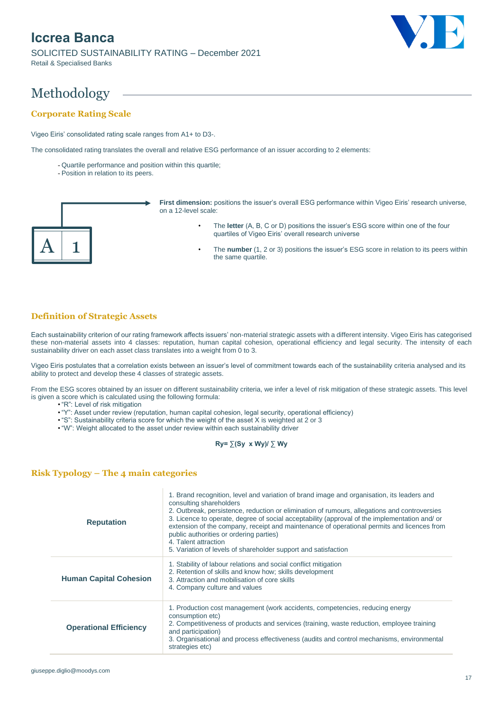SOLICITED SUSTAINABILITY RATING – December 2021 Retail & Specialised Banks



# Methodology

### **Corporate Rating Scale**

Vigeo Eiris' consolidated rating scale ranges from A1+ to D3-.

The consolidated rating translates the overall and relative ESG performance of an issuer according to 2 elements:

- Quartile performance and position within this quartile;
- Position in relation to its peers.



**First dimension:** positions the issuer's overall ESG performance within Vigeo Eiris' research universe, on a 12-level scale:

- The **letter** (A, B, C or D) positions the issuer's ESG score within one of the four quartiles of Vigeo Eiris' overall research universe
- The **number** (1, 2 or 3) positions the issuer's ESG score in relation to its peers within the same quartile.

### **Definition of Strategic Assets**

Each sustainability criterion of our rating framework affects issuers' non-material strategic assets with a different intensity. Vigeo Eiris has categorised these non-material assets into 4 classes: reputation, human capital cohesion, operational efficiency and legal security. The intensity of each sustainability driver on each asset class translates into a weight from 0 to 3.

Vigeo Eiris postulates that a correlation exists between an issuer's level of commitment towards each of the sustainability criteria analysed and its ability to protect and develop these 4 classes of strategic assets.

From the ESG scores obtained by an issuer on different sustainability criteria, we infer a level of risk mitigation of these strategic assets. This level is given a score which is calculated using the following formula:

- "R": Level of risk mitigation
- "Y": Asset under review (reputation, human capital cohesion, legal security, operational efficiency)
- "S": Sustainability criteria score for which the weight of the asset X is weighted at 2 or 3
- "W": Weight allocated to the asset under review within each sustainability driver

### **Ry= ∑(Sy x Wy)/ ∑ Wy**

### **Risk Typology – The 4 main categories**

| <b>Reputation</b>             | 1. Brand recognition, level and variation of brand image and organisation, its leaders and<br>consulting shareholders<br>2. Outbreak, persistence, reduction or elimination of rumours, allegations and controversies<br>3. Licence to operate, degree of social acceptability (approval of the implementation and/ or<br>extension of the company, receipt and maintenance of operational permits and licences from<br>public authorities or ordering parties)<br>4. Talent attraction<br>5. Variation of levels of shareholder support and satisfaction |
|-------------------------------|-----------------------------------------------------------------------------------------------------------------------------------------------------------------------------------------------------------------------------------------------------------------------------------------------------------------------------------------------------------------------------------------------------------------------------------------------------------------------------------------------------------------------------------------------------------|
| <b>Human Capital Cohesion</b> | 1. Stability of labour relations and social conflict mitigation<br>2. Retention of skills and know how; skills development<br>3. Attraction and mobilisation of core skills<br>4. Company culture and values                                                                                                                                                                                                                                                                                                                                              |
| <b>Operational Efficiency</b> | 1. Production cost management (work accidents, competencies, reducing energy<br>consumption etc)<br>2. Competitiveness of products and services (training, waste reduction, employee training<br>and participation)<br>3. Organisational and process effectiveness (audits and control mechanisms, environmental<br>strategies etc)                                                                                                                                                                                                                       |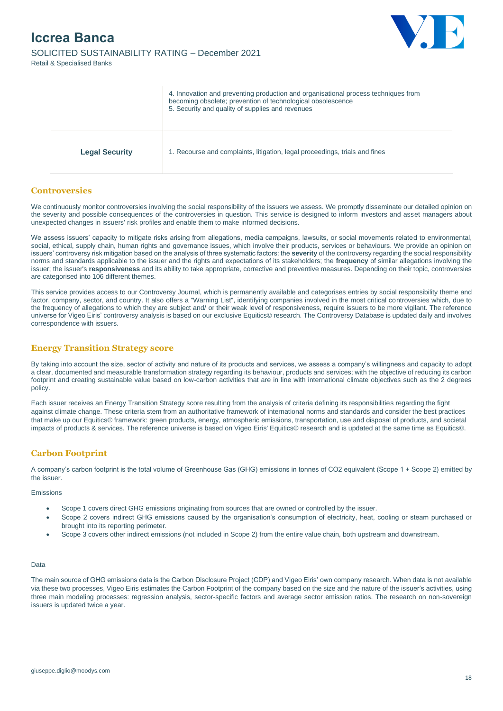SOLICITED SUSTAINABILITY RATING – December 2021 Retail & Specialised Banks



|                       | 4. Innovation and preventing production and organisational process techniques from<br>becoming obsolete; prevention of technological obsolescence<br>5. Security and quality of supplies and revenues |
|-----------------------|-------------------------------------------------------------------------------------------------------------------------------------------------------------------------------------------------------|
| <b>Legal Security</b> | 1. Recourse and complaints, litigation, legal proceedings, trials and fines                                                                                                                           |

### **Controversies**

We continuously monitor controversies involving the social responsibility of the issuers we assess. We promptly disseminate our detailed opinion on the severity and possible consequences of the controversies in question. This service is designed to inform investors and asset managers about unexpected changes in issuers' risk profiles and enable them to make informed decisions.

We assess issuers' capacity to mitigate risks arising from allegations, media campaigns, lawsuits, or social movements related to environmental, social, ethical, supply chain, human rights and governance issues, which involve their products, services or behaviours. We provide an opinion on issuers' controversy risk mitigation based on the analysis of three systematic factors: the **severity** of the controversy regarding the social responsibility norms and standards applicable to the issuer and the rights and expectations of its stakeholders; the **frequency** of similar allegations involving the issuer; the issuer's **responsiveness** and its ability to take appropriate, corrective and preventive measures. Depending on their topic, controversies are categorised into 106 different themes.

This service provides access to our Controversy Journal, which is permanently available and categorises entries by social responsibility theme and factor, company, sector, and country. It also offers a "Warning List", identifying companies involved in the most critical controversies which, due to the frequency of allegations to which they are subject and/ or their weak level of responsiveness, require issuers to be more vigilant. The reference universe for Vigeo Eiris' controversy analysis is based on our exclusive Equitics© research. The Controversy Database is updated daily and involves correspondence with issuers.

### **Energy Transition Strategy score**

By taking into account the size, sector of activity and nature of its products and services, we assess a company's willingness and capacity to adopt a clear, documented and measurable transformation strategy regarding its behaviour, products and services; with the objective of reducing its carbon footprint and creating sustainable value based on low-carbon activities that are in line with international climate objectives such as the 2 degrees policy.

Each issuer receives an Energy Transition Strategy score resulting from the analysis of criteria defining its responsibilities regarding the fight against climate change. These criteria stem from an authoritative framework of international norms and standards and consider the best practices that make up our Equitics© framework: green products, energy, atmospheric emissions, transportation, use and disposal of products, and societal impacts of products & services. The reference universe is based on Vigeo Eiris' Equitics© research and is updated at the same time as Equitics©.

### **Carbon Footprint**

A company's carbon footprint is the total volume of Greenhouse Gas (GHG) emissions in tonnes of CO2 equivalent (Scope 1 + Scope 2) emitted by the issuer.

#### Emissions

- Scope 1 covers direct GHG emissions originating from sources that are owned or controlled by the issuer.
- Scope 2 covers indirect GHG emissions caused by the organisation's consumption of electricity, heat, cooling or steam purchased or brought into its reporting perimeter.
- Scope 3 covers other indirect emissions (not included in Scope 2) from the entire value chain, both upstream and downstream.

#### Data

The main source of GHG emissions data is the Carbon Disclosure Project (CDP) and Vigeo Eiris' own company research. When data is not available via these two processes, Vigeo Eiris estimates the Carbon Footprint of the company based on the size and the nature of the issuer's activities, using three main modeling processes: regression analysis, sector-specific factors and average sector emission ratios. The research on non-sovereign issuers is updated twice a year.